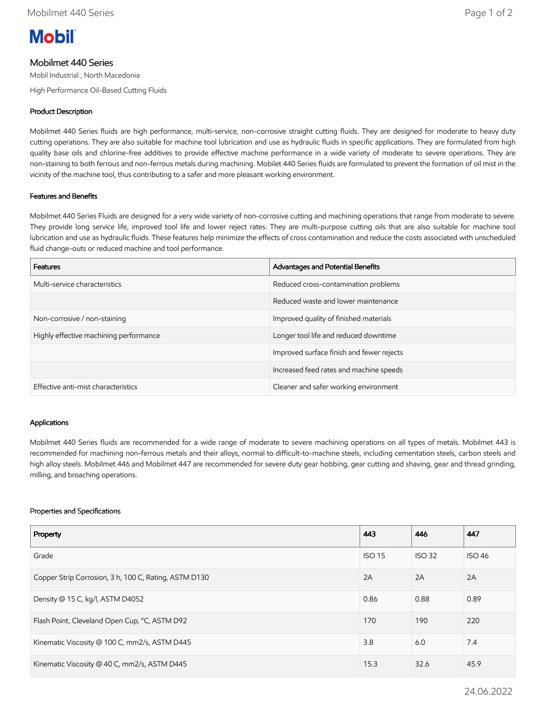

# Mobilmet 440 Series

Mobil Industrial , North Macedonia

High Performance Oil-Based Cutting Fluids

### Product Description

Mobilmet 440 Series fluids are high performance, multi-service, non-corrosive straight cutting fluids. They are designed for moderate to heavy duty cutting operations. They are also suitable for machine tool lubrication and use as hydraulic fluids in specific applications. They are formulated from high quality base oils and chlorine-free additives to provide effective machine performance in a wide variety of moderate to severe operations. They are non-staining to both ferrous and non-ferrous metals during machining. Mobilet 440 Series fluids are formulated to prevent the formation of oil mist in the vicinity of the machine tool, thus contributing to a safer and more pleasant working environment.

### Features and Benefits

Mobilmet 440 Series Fluids are designed for a very wide variety of non-corrosive cutting and machining operations that range from moderate to severe. They provide long service life, improved tool life and lower reject rates. They are multi-purpose cutting oils that are also suitable for machine tool lubrication and use as hydraulic fluids. These features help minimize the effects of cross contamination and reduce the costs associated with unscheduled fluid change-outs or reduced machine and tool performance.

| <b>Features</b>                        | Advantages and Potential Benefits         |
|----------------------------------------|-------------------------------------------|
| Multi-service characteristics          | Reduced cross-contamination problems      |
|                                        | Reduced waste and lower maintenance       |
| Non-corrosive / non-staining           | Improved quality of finished materials    |
| Highly effective machining performance | Longer tool life and reduced downtime     |
|                                        | Improved surface finish and fewer rejects |
|                                        | Increased feed rates and machine speeds   |
| Effective anti-mist characteristics    | Cleaner and safer working environment     |

#### Applications

Mobilmet 440 Series fluids are recommended for a wide range of moderate to severe machining operations on all types of metals. Mobilmet 443 is recommended for machining non-ferrous metals and their alloys, normal to difficult-to-machine steels, including cementation steels, carbon steels and high alloy steels. Mobilmet 446 and Mobilmet 447 are recommended for severe duty gear hobbing, gear cutting and shaving, gear and thread grinding, milling, and broaching operations.

#### Properties and Specifications

| Property                                              | 443           | 446           | 447           |
|-------------------------------------------------------|---------------|---------------|---------------|
| Grade                                                 | <b>ISO 15</b> | <b>ISO 32</b> | <b>ISO 46</b> |
| Copper Strip Corrosion, 3 h, 100 C, Rating, ASTM D130 | 2A            | 2A            | 2A            |
| Density @ 15 C, kg/l, ASTM D4052                      | 0.86          | 0.88          | 0.89          |
| Flash Point, Cleveland Open Cup, °C, ASTM D92         | 170           | 190           | 220           |
| Kinematic Viscosity @ 100 C, mm2/s, ASTM D445         | 3.8           | 6.0           | 7.4           |
| Kinematic Viscosity @ 40 C, mm2/s, ASTM D445          | 15.3          | 32.6          | 45.9          |